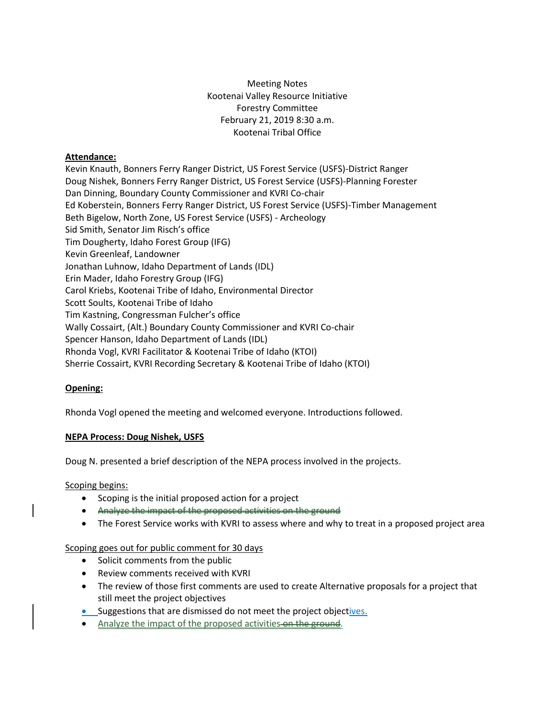# Meeting Notes Kootenai Valley Resource Initiative Forestry Committee February 21, 2019 8:30 a.m. Kootenai Tribal Office

### **Attendance:**

Kevin Knauth, Bonners Ferry Ranger District, US Forest Service (USFS)-District Ranger Doug Nishek, Bonners Ferry Ranger District, US Forest Service (USFS)-Planning Forester Dan Dinning, Boundary County Commissioner and KVRI Co-chair Ed Koberstein, Bonners Ferry Ranger District, US Forest Service (USFS)-Timber Management Beth Bigelow, North Zone, US Forest Service (USFS) - Archeology Sid Smith, Senator Jim Risch's office Tim Dougherty, Idaho Forest Group (IFG) Kevin Greenleaf, Landowner Jonathan Luhnow, Idaho Department of Lands (IDL) Erin Mader, Idaho Forestry Group (IFG) Carol Kriebs, Kootenai Tribe of Idaho, Environmental Director Scott Soults, Kootenai Tribe of Idaho Tim Kastning, Congressman Fulcher's office Wally Cossairt, (Alt.) Boundary County Commissioner and KVRI Co-chair Spencer Hanson, Idaho Department of Lands (IDL) Rhonda Vogl, KVRI Facilitator & Kootenai Tribe of Idaho (KTOI) Sherrie Cossairt, KVRI Recording Secretary & Kootenai Tribe of Idaho (KTOI)

# **Opening:**

Rhonda Vogl opened the meeting and welcomed everyone. Introductions followed.

#### **NEPA Process: Doug Nishek, USFS**

Doug N. presented a brief description of the NEPA process involved in the projects.

Scoping begins:

- Scoping is the initial proposed action for a project
- Analyze the impact of the proposed activities on the ground
- The Forest Service works with KVRI to assess where and why to treat in a proposed project area

### Scoping goes out for public comment for 30 days

- Solicit comments from the public
- Review comments received with KVRI
- The review of those first comments are used to create Alternative proposals for a project that still meet the project objectives
- Suggestions that are dismissed do not meet the project objectives.
- Analyze the impact of the proposed activities on the ground.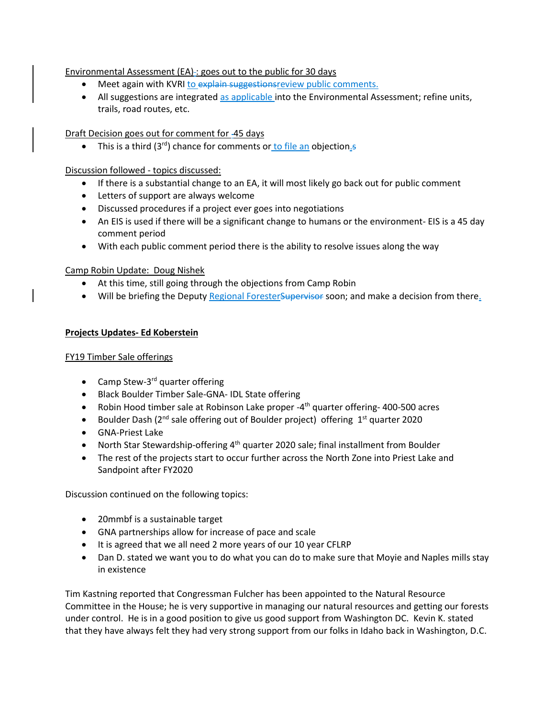## Environmental Assessment (EA) : goes out to the public for 30 days

- Meet again with KVRI to explain suggestionsreview public comments.
- All suggestions are integrated as applicable into the Environmental Assessment; refine units, trails, road routes, etc.

Draft Decision goes out for comment for 45 days

• This is a third  $(3^{rd})$  chance for comments or to file an objection.

Discussion followed - topics discussed:

- If there is a substantial change to an EA, it will most likely go back out for public comment
- Letters of support are always welcome
- Discussed procedures if a project ever goes into negotiations
- An EIS is used if there will be a significant change to humans or the environment- EIS is a 45 day comment period
- With each public comment period there is the ability to resolve issues along the way

Camp Robin Update: Doug Nishek

- At this time, still going through the objections from Camp Robin
- Will be briefing the Deputy Regional Forester Supervisor soon; and make a decision from there.

#### **Projects Updates- Ed Koberstein**

#### FY19 Timber Sale offerings

- Camp Stew-3<sup>rd</sup> quarter offering
- Black Boulder Timber Sale-GNA- IDL State offering
- Robin Hood timber sale at Robinson Lake proper -4<sup>th</sup> quarter offering- 400-500 acres
- Boulder Dash ( $2^{nd}$  sale offering out of Boulder project) offering  $1^{st}$  quarter 2020
- GNA-Priest Lake
- North Star Stewardship-offering 4<sup>th</sup> quarter 2020 sale; final installment from Boulder
- The rest of the projects start to occur further across the North Zone into Priest Lake and Sandpoint after FY2020

Discussion continued on the following topics:

- 20mmbf is a sustainable target
- GNA partnerships allow for increase of pace and scale
- It is agreed that we all need 2 more years of our 10 year CFLRP
- Dan D. stated we want you to do what you can do to make sure that Moyie and Naples mills stay in existence

Tim Kastning reported that Congressman Fulcher has been appointed to the Natural Resource Committee in the House; he is very supportive in managing our natural resources and getting our forests under control. He is in a good position to give us good support from Washington DC. Kevin K. stated that they have always felt they had very strong support from our folks in Idaho back in Washington, D.C.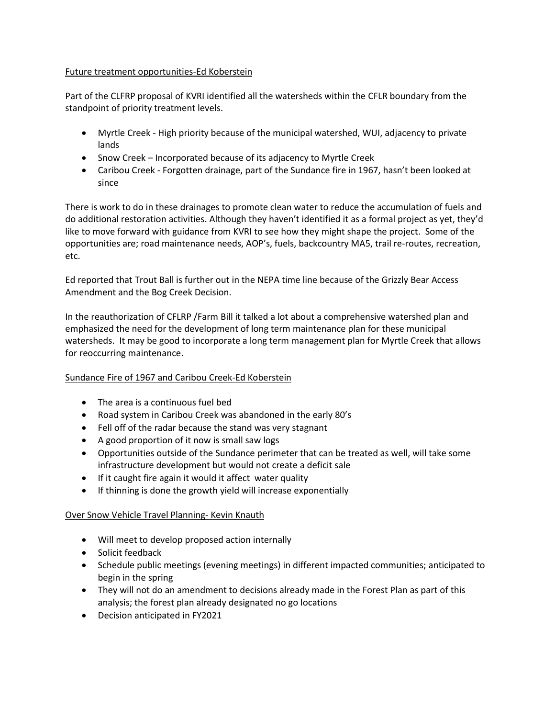#### Future treatment opportunities-Ed Koberstein

Part of the CLFRP proposal of KVRI identified all the watersheds within the CFLR boundary from the standpoint of priority treatment levels.

- Myrtle Creek High priority because of the municipal watershed, WUI, adjacency to private lands
- Snow Creek Incorporated because of its adjacency to Myrtle Creek
- Caribou Creek Forgotten drainage, part of the Sundance fire in 1967, hasn't been looked at since

There is work to do in these drainages to promote clean water to reduce the accumulation of fuels and do additional restoration activities. Although they haven't identified it as a formal project as yet, they'd like to move forward with guidance from KVRI to see how they might shape the project. Some of the opportunities are; road maintenance needs, AOP's, fuels, backcountry MA5, trail re-routes, recreation, etc.

Ed reported that Trout Ball is further out in the NEPA time line because of the Grizzly Bear Access Amendment and the Bog Creek Decision.

In the reauthorization of CFLRP /Farm Bill it talked a lot about a comprehensive watershed plan and emphasized the need for the development of long term maintenance plan for these municipal watersheds. It may be good to incorporate a long term management plan for Myrtle Creek that allows for reoccurring maintenance.

# Sundance Fire of 1967 and Caribou Creek-Ed Koberstein

- The area is a continuous fuel bed
- Road system in Caribou Creek was abandoned in the early 80's
- Fell off of the radar because the stand was very stagnant
- A good proportion of it now is small saw logs
- Opportunities outside of the Sundance perimeter that can be treated as well, will take some infrastructure development but would not create a deficit sale
- If it caught fire again it would it affect water quality
- If thinning is done the growth yield will increase exponentially

#### Over Snow Vehicle Travel Planning- Kevin Knauth

- Will meet to develop proposed action internally
- Solicit feedback
- Schedule public meetings (evening meetings) in different impacted communities; anticipated to begin in the spring
- They will not do an amendment to decisions already made in the Forest Plan as part of this analysis; the forest plan already designated no go locations
- Decision anticipated in FY2021